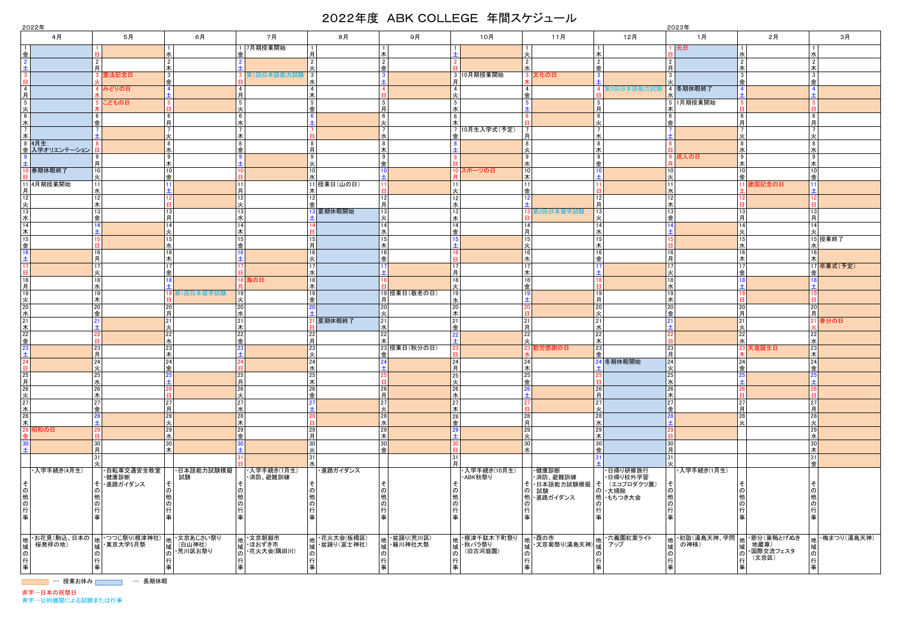|                      |                         |                      |                                                                                                                 |                                        | 2022年<br>2023年   |                     |                         |                      |                                |                                                               |                           |               |                         |                 |                        |                      |                      |                   |                                        |                 |                   |    |                         |  |  |  |  |
|----------------------|-------------------------|----------------------|-----------------------------------------------------------------------------------------------------------------|----------------------------------------|------------------|---------------------|-------------------------|----------------------|--------------------------------|---------------------------------------------------------------|---------------------------|---------------|-------------------------|-----------------|------------------------|----------------------|----------------------|-------------------|----------------------------------------|-----------------|-------------------|----|-------------------------|--|--|--|--|
|                      | 4月                      |                      | 5月                                                                                                              |                                        | 6月               |                     | 7月                      |                      | 8月                             |                                                               | 9月                        |               | 10月                     |                 | 11月                    |                      | 12月                  |                   | 1月                                     |                 | 2月                |    | 3月                      |  |  |  |  |
|                      |                         |                      |                                                                                                                 |                                        |                  | 金                   | 1 7月期授業開始               | 月                    |                                | 木                                                             |                           |               |                         |                 |                        | ౹≭                   |                      |                   | 元日                                     |                 |                   |    |                         |  |  |  |  |
| 金                    |                         | 2 <sup>1</sup>       |                                                                                                                 | l水<br>$\frac{2}{\pi}$                  |                  |                     |                         | $\vert$ 2            |                                | $\sqrt{2}$                                                    |                           |               |                         |                 |                        | $\overline{2}$       |                      | $\overline{2}$    |                                        | $\overline{2}$  |                   |    |                         |  |  |  |  |
|                      |                         | 月                    | 最法記念日                                                                                                           | $\frac{3}{2}$                          |                  |                     | 第1回日本語能力試験              | 火<br> 3              |                                | 金<br>$\overline{3}$                                           |                           |               | 3 10月期授業開始              |                 | 文化の日                   | 金<br>$\overline{3}$  |                      | 月<br>$\mathbf{3}$ |                                        | ▎木<br>l 3       |                   |    |                         |  |  |  |  |
| $\overline{4}$       |                         |                      | 4 みどりの日                                                                                                         | $\overline{4}$                         |                  |                     |                         | 水<br>$\overline{4}$  |                                | $\overline{4}$                                                |                           |               |                         |                 |                        | $\boldsymbol{4}$     | <b>第2回日本語能力試験</b>    |                   | 4 冬期休暇終了                               |                 |                   |    |                         |  |  |  |  |
| 月                    |                         |                      |                                                                                                                 | $\overline{+}$<br>-5                   |                  | 月<br>5 <sup>1</sup> |                         | 木                    |                                |                                                               |                           | -5            |                         |                 |                        |                      |                      |                   |                                        |                 |                   |    |                         |  |  |  |  |
| 5<br>火               |                         |                      | こどもの日                                                                                                           |                                        |                  | 火                   |                         | $5\overline{)}$<br>金 |                                | $5\overline{)}$<br>月                                          |                           | - 7k          |                         |                 |                        | $5\overline{5}$<br>月 |                      |                   | 5 1月期授業開始                              |                 |                   |    |                         |  |  |  |  |
| 6<br>水               |                         | क़                   |                                                                                                                 | 6<br>月                                 |                  | 6<br>水              |                         | 6                    |                                | $6\overline{6}$<br>火                                          |                           | - 6           |                         |                 |                        | 6<br>火               |                      | 金                 |                                        | l 6<br><b>月</b> |                   |    |                         |  |  |  |  |
| 7 <sup>1</sup><br>木  |                         |                      |                                                                                                                 | $\overline{7}$<br> 火                   |                  | 木                   |                         |                      |                                | $\overline{7}$<br>水                                           |                           |               | 7 10月生入学式(予定)           |                 |                        | $\overline{7}$<br>水  |                      |                   |                                        |                 |                   |    |                         |  |  |  |  |
|                      | 8 4月生:<br>金 入学オリエンテーション |                      |                                                                                                                 | 8 <br>l水                               |                  | 8<br>金              |                         | $^{\circ}$<br>月      |                                | 8<br>木                                                        |                           |               |                         | 8               |                        | 8<br>木               |                      |                   |                                        | 8<br>l »        |                   |    |                         |  |  |  |  |
|                      |                         | 9<br>月               |                                                                                                                 | $\overline{9}$<br>木                    |                  |                     |                         | 9<br>火               |                                | 9<br>金                                                        |                           |               |                         | 9               |                        | စ<br>金               |                      |                   | 9 成人の日                                 | l 9<br>l木       |                   |    |                         |  |  |  |  |
|                      | 春期休暇終了                  | 10                   |                                                                                                                 | 10                                     |                  |                     |                         | 10                   |                                | 10                                                            |                           |               | 10 スポーツの日               | 10              |                        | 10                   |                      | 10 I              |                                        | 10              |                   |    |                         |  |  |  |  |
|                      | 11 4月期授業開始              | 火<br>11              |                                                                                                                 | 一金<br>11                               |                  | 11 <sup>1</sup>     |                         | zК                   | 11 授業日(山の日)                    | 11                                                            |                           |               |                         |                 |                        |                      |                      | 11                |                                        | l 金             | 建国記念の日            |    |                         |  |  |  |  |
| 月<br>12              |                         | 水<br>12              |                                                                                                                 |                                        |                  | 月<br>12             |                         | 木<br>$12$            |                                | $12$                                                          |                           | 12            |                         |                 |                        | 12                   |                      | 12                |                                        |                 |                   |    |                         |  |  |  |  |
| 火<br>13              |                         | 木<br>13              |                                                                                                                 | 13                                     |                  | 火<br>13             |                         | l金                   | 13 夏期休暇開始                      | 月<br> 13                                                      |                           | zК<br>13      |                         |                 | 第2回日本留学試験              | 月<br>13              |                      | 木<br>13           |                                        | 13              |                   |    |                         |  |  |  |  |
| <u>水</u>             |                         | 金<br>14              |                                                                                                                 | Iя<br> 14                              |                  | 水                   |                         |                      |                                | 火                                                             |                           | l木<br>14      |                         |                 |                        | 14                   |                      | 金                 |                                        | <b> 月</b>       |                   |    |                         |  |  |  |  |
| 14<br>木              |                         |                      |                                                                                                                 | 火                                      |                  | 14<br>木             |                         |                      |                                | 14 <br>水                                                      |                           | l金            |                         | 14<br>月         |                        | 水                    |                      |                   |                                        | 14              |                   |    |                         |  |  |  |  |
| 15<br>金              |                         |                      |                                                                                                                 | 15<br>水                                |                  | 15<br>金             |                         | 15<br>月              |                                | 15<br>木                                                       |                           |               |                         | 15 <sup>1</sup> |                        | 15<br>౹⋇             |                      |                   |                                        | l 15            |                   |    | 15 授業終了                 |  |  |  |  |
| 16 <sup>1</sup><br>土 |                         | 16<br>月              |                                                                                                                 | 16<br>木                                |                  |                     |                         | 16 <br>火             |                                | 16<br>金                                                       |                           |               |                         | 16              |                        | 16<br>金              |                      | 16<br>月           |                                        | 16<br>▎★        |                   |    |                         |  |  |  |  |
| в                    |                         | 17 <sup>1</sup><br>火 |                                                                                                                 | 17<br> 金                               |                  |                     |                         | 17 <br>水             |                                |                                                               |                           | Iя            |                         |                 |                        |                      |                      | 17                |                                        | l 15<br>l 金     |                   |    | 17 <mark>卒業式(予定)</mark> |  |  |  |  |
| 18<br>月              |                         | 18<br>水              |                                                                                                                 | 18                                     |                  |                     | 18 海の日                  | 18 <br>Ⅰ木            |                                |                                                               |                           | 18            |                         | 18<br>金         |                        |                      |                      | 18                |                                        |                 |                   |    |                         |  |  |  |  |
| 19                   |                         | 19<br>木              |                                                                                                                 |                                        | 第1回日本留学試験        | 19                  |                         | 19<br>金              |                                |                                                               | 19 授業日(敬老の日)              | 19<br>JК      |                         |                 |                        | 19<br>月              |                      | 19<br>木           |                                        |                 |                   |    |                         |  |  |  |  |
| 火 $\frac{1}{20}$     |                         | 20                   |                                                                                                                 | 20<br>月                                |                  | 20                  |                         | $\overline{20}$      |                                | 20                                                            |                           | 20            |                         |                 |                        | 20                   |                      | 20                |                                        | 20              |                   | 20 |                         |  |  |  |  |
| 水<br>21              |                         | 金<br>21              |                                                                                                                 | 21                                     |                  | 水<br>21             |                         |                      | 夏期休暇終了                         | 火<br> 21                                                      |                           | l木<br>21      |                         | 日               |                        | 火<br> 21             |                      | 金                 |                                        | l 月<br> 21      |                   | 日  | 春分の日                    |  |  |  |  |
| 木<br>22              |                         | 22 <sub>1</sub>      |                                                                                                                 | 火<br>22<br>水                           |                  | 木<br>22<br>金        |                         | $22$ 月               |                                | 水<br>22<br>木                                                  |                           | l金            |                         | 22              |                        | 水<br>22              |                      |                   |                                        | 22              |                   | 22 |                         |  |  |  |  |
| 金<br>23              |                         | 23<br>月              |                                                                                                                 | $\frac{23}{1}$                         |                  |                     |                         | 23<br>火              |                                | 金                                                             | 23 授業日(秋分の日)              |               |                         |                 | 勤労感謝の日                 | 木<br>23<br>一金        |                      | 23<br>月           |                                        | lж              | 天皇誕生日             | 23 |                         |  |  |  |  |
| 24 <sub>1</sub>      |                         | 24                   |                                                                                                                 | 24                                     |                  |                     |                         | 24                   |                                | 24                                                            |                           | 24            |                         | 24              |                        |                      | 24 冬期休暇開始            | 24                |                                        | 24              |                   | 24 |                         |  |  |  |  |
| 8 I<br>25            |                         | 火<br>25              |                                                                                                                 | 金<br>25                                |                  | 18 I<br> 25         |                         | l水<br>25             |                                | I±I<br>25                                                     |                           | 月<br> 25      |                         | 木 <br>25        |                        |                      |                      | l火:<br>25         |                                        | 金               |                   | 金  |                         |  |  |  |  |
| 月<br>26              |                         | 水<br>26              |                                                                                                                 | 26                                     |                  | 月<br> 26            |                         | 木                    |                                | Ħ.                                                            |                           | 火<br>26       |                         | 金               |                        | 26                   |                      | 26                |                                        |                 |                   |    |                         |  |  |  |  |
| 火 $\frac{1}{27}$     |                         | 木<br>27              |                                                                                                                 |                                        |                  | 火<br>27             |                         | $26$<br>金<br>27      |                                | $\begin{array}{c} \boxed{26} \\ \boxed{1} \end{array}$<br> 27 |                           | JК<br>27      |                         |                 |                        | 月<br>27              |                      | 木<br>27           |                                        | 27              |                   |    |                         |  |  |  |  |
| $\frac{1}{28}$       |                         | 金<br>28              |                                                                                                                 | 27<br>月                                |                  | 水                   |                         | $+$                  |                                | 火                                                             |                           | l木            |                         |                 |                        | 「火                   |                      | ♠                 |                                        | l A             |                   |    |                         |  |  |  |  |
| 木                    |                         | $+$                  |                                                                                                                 | 28 <br>火                               |                  | 28<br>木             |                         | 28<br>$\overline{H}$ |                                | 28 <br>水                                                      |                           | 28<br>l金      |                         | 28<br>日         |                        | 28<br>水              |                      |                   |                                        | 28<br>يا ا      |                   | 28 |                         |  |  |  |  |
|                      | 29 昭和の日                 | 29<br>Ħ.             |                                                                                                                 | $\frac{29}{}$                          |                  | 29<br>金             |                         | $\frac{29}{5}$       |                                |                                                               |                           |               |                         | 29              |                        | 29<br>木              |                      |                   |                                        |                 |                   | 29 |                         |  |  |  |  |
|                      |                         | 30 <br>月             |                                                                                                                 | $\begin{array}{c} 30 \\ 7 \end{array}$ |                  |                     |                         | 30 <br>火             |                                | 30<br>l 솎l                                                    |                           |               |                         | 30 <sup>1</sup> |                        | 30<br>一金             |                      | 30<br>日           |                                        |                 |                   | 30 |                         |  |  |  |  |
|                      |                         | 31                   |                                                                                                                 |                                        |                  |                     |                         | 31<br><sub>J</sub> k |                                |                                                               |                           |               |                         |                 |                        |                      |                      | 31                |                                        |                 |                   |    |                         |  |  |  |  |
|                      | ・入学手続き(4月生)             |                      | ・自転車交通安全教室<br>・健康診断                                                                                             |                                        | ・日本語能力試験模擬<br>試験 |                     | ・入学手続き(7月生)<br>・消防、避難訓練 |                      | ・進路ガイダンス                       |                                                               |                           |               | ・入学手続き(10月生)<br>・ABK秋祭り |                 | ·健康診断<br>・消防、避難訓練      |                      | ・日帰り研修旅行<br>・日帰り校外学習 |                   | ・入学手続き(1月生)                            |                 |                   |    |                         |  |  |  |  |
| そ∣<br>の              |                         |                      | そ ・進路ガイダンス                                                                                                      | そ<br>$\sigma$                          |                  |                     |                         | $\sigma$             |                                | $\sigma$                                                      |                           |               |                         | ΦI              | そ   日本語能力試験模擬  そ<br>試験 |                      | (エコプロダクツ展)<br>の・大掃除  |                   |                                        |                 |                   |    |                         |  |  |  |  |
| 他                    |                         |                      |                                                                                                                 |                                        |                  |                     |                         | 他                    |                                | 他の                                                            |                           |               |                         |                 | 他 • 進路ガイダンス            |                      | 他 もちつき大会             |                   |                                        |                 |                   |    |                         |  |  |  |  |
| の<br>行               |                         | 行                    |                                                                                                                 |                                        |                  |                     |                         | $\sigma$<br>行        |                                | 行                                                             |                           | $\sigma$<br>行 |                         |                 |                        | 行                    |                      |                   |                                        |                 |                   |    |                         |  |  |  |  |
| 事                    |                         |                      |                                                                                                                 |                                        |                  |                     |                         |                      |                                | 事                                                             |                           |               |                         |                 |                        | 事                    |                      |                   |                                        |                 |                   |    |                         |  |  |  |  |
|                      | ・お花見(駒込、日本の)            |                      |                                                                                                                 |                                        |                  |                     | ┃ <sub>₩</sub> ┃ 文京朝顔市  |                      |                                |                                                               |                           |               | 地中提津子駄木下町祭り             |                 | ├酉の市                   |                      | ・六義園紅葉ライト            | +uh I             | ・初詣(湯島天神、学問   <sub>地</sub>  ・節分(巣鴨とげぬき |                 |                   |    | ₩ 梅まつり(湯島天神)            |  |  |  |  |
|                      | 桜発祥の地)                  |                      | 地 ・つつじ祭り(根津神社)  地 ・文京あじさい祭り <br> 域  ・東京大学5月祭    域  (白山神社) <br> 域  ・東京大学5月祭    域   <u>、共川</u> 区も祭り <br>域 東京大学5月祭 |                                        | ・荒川区お祭り          |                     | 域 ほおずき市<br>・花火大会(隅田川)   |                      | │地│·花火大会(板橋区)<br>│地│·盆踊り(富士神社) |                                                               | 地 ・盆踊り(荒川区)<br> 域 ・簸川神社大祭 | 域             | ・秋バラ祭り<br>(旧古河庭園)       |                 | 3  女京菊祭り(湯島天神)         | <b> 域</b>            | アップ                  | tati              | の神様)                                   | 域               | 地蔵尊)<br>・国際交流フェスタ |    |                         |  |  |  |  |
|                      |                         | 行                    |                                                                                                                 | $\sigma$                               |                  | $\omega$            |                         | $\sigma$<br>行        |                                | 行                                                             |                           | $\sigma$      |                         |                 |                        | 行                    |                      |                   |                                        | l行              | (文京区)             |    |                         |  |  |  |  |
|                      |                         | 事                    |                                                                                                                 |                                        |                  |                     |                         | 車                    |                                | 事                                                             |                           |               |                         |                 |                        | 事                    |                      |                   |                                        | 目               |                   |    |                         |  |  |  |  |

**\_\_\_\_\_** … 授業お休み \_\_\_\_\_ … 長期休暇

赤字…日本の祝祭日 青字…公的機関による試験または行事

| ۰, |
|----|
|    |

## 2022年度 ABK COLLEGE 年間スケジュール